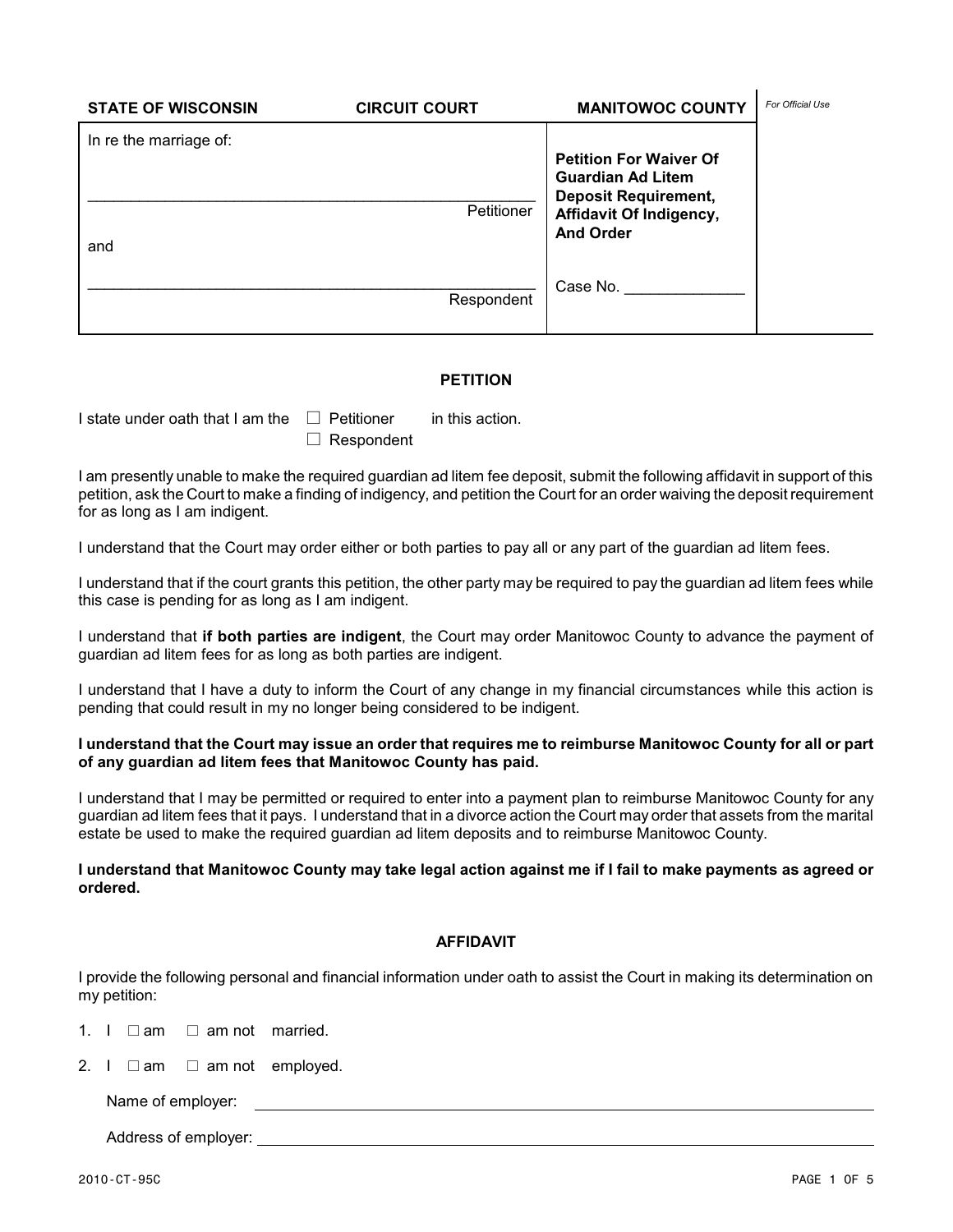| <b>STATE OF WISCONSIN</b>     | <b>CIRCUIT COURT</b> | <b>MANITOWOC COUNTY</b>                                                                                                                 | For Official Use |
|-------------------------------|----------------------|-----------------------------------------------------------------------------------------------------------------------------------------|------------------|
| In re the marriage of:<br>and | Petitioner           | <b>Petition For Waiver Of</b><br><b>Guardian Ad Litem</b><br><b>Deposit Requirement,</b><br>Affidavit Of Indigency,<br><b>And Order</b> |                  |
|                               | Respondent           | Case No.                                                                                                                                |                  |

## **PETITION**

I state under oath that I am the  $\Box$  Petitioner in this action.

 $\Box$  Respondent

I am presently unable to make the required guardian ad litem fee deposit, submit the following affidavit in support of this petition, ask the Court to make a finding of indigency, and petition the Court for an order waiving the deposit requirement for as long as I am indigent.

I understand that the Court may order either or both parties to pay all or any part of the guardian ad litem fees.

I understand that if the court grants this petition, the other party may be required to pay the guardian ad litem fees while this case is pending for as long as I am indigent.

I understand that **if both parties are indigent**, the Court may order Manitowoc County to advance the payment of guardian ad litem fees for as long as both parties are indigent.

I understand that I have a duty to inform the Court of any change in my financial circumstances while this action is pending that could result in my no longer being considered to be indigent.

## **I understand that the Court may issue an order that requires me to reimburse Manitowoc County for all or part of any guardian ad litem fees that Manitowoc County has paid.**

I understand that I may be permitted or required to enter into a payment plan to reimburse Manitowoc County for any guardian ad litem fees that it pays. I understand that in a divorce action the Court may order that assets from the marital estate be used to make the required guardian ad litem deposits and to reimburse Manitowoc County.

**I understand that Manitowoc County may take legal action against me if I fail to make payments as agreed or ordered.**

## **AFFIDAVIT**

I provide the following personal and financial information under oath to assist the Court in making its determination on my petition:

1. I  $\Box$  am  $\Box$  am not married.

2. I  $\Box$  am  $\Box$  am not employed.

Name of employer:

Address of employer: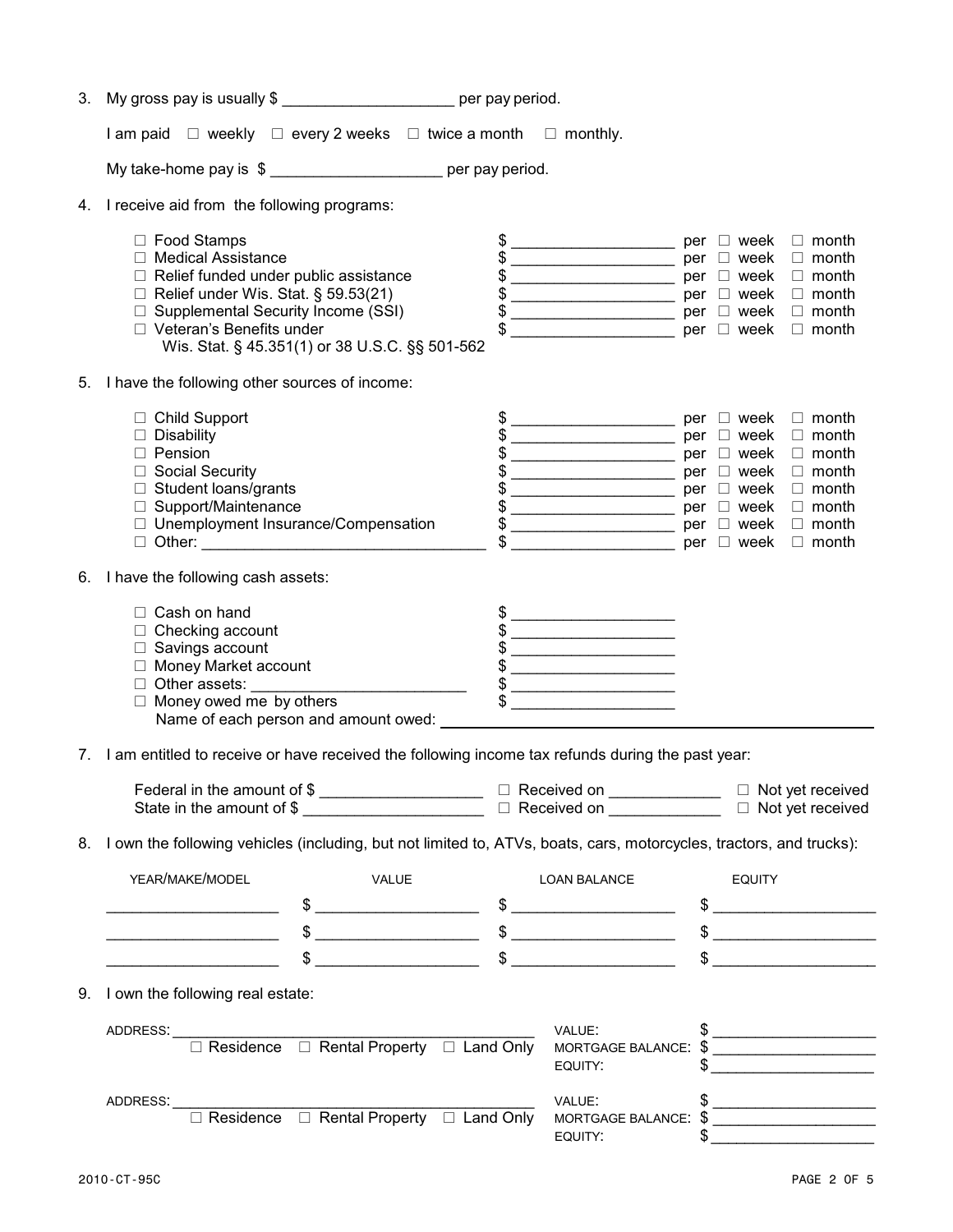| 3. | My gross pay is usually \$ ________________________ per pay period.                                                                                                                                                                                                                                                 |                                                                                                                                                                                                                                                                                                                                                                                                                                                                                                                                                                                                                                                               |               |                                                                                              |
|----|---------------------------------------------------------------------------------------------------------------------------------------------------------------------------------------------------------------------------------------------------------------------------------------------------------------------|---------------------------------------------------------------------------------------------------------------------------------------------------------------------------------------------------------------------------------------------------------------------------------------------------------------------------------------------------------------------------------------------------------------------------------------------------------------------------------------------------------------------------------------------------------------------------------------------------------------------------------------------------------------|---------------|----------------------------------------------------------------------------------------------|
|    | I am paid $\Box$ weekly $\Box$ every 2 weeks $\Box$ twice a month $\Box$ monthly.                                                                                                                                                                                                                                   |                                                                                                                                                                                                                                                                                                                                                                                                                                                                                                                                                                                                                                                               |               |                                                                                              |
|    | My take-home pay is \$ ____________________ per pay period.                                                                                                                                                                                                                                                         |                                                                                                                                                                                                                                                                                                                                                                                                                                                                                                                                                                                                                                                               |               |                                                                                              |
| 4. | I receive aid from the following programs:                                                                                                                                                                                                                                                                          |                                                                                                                                                                                                                                                                                                                                                                                                                                                                                                                                                                                                                                                               |               |                                                                                              |
|    | □ Food Stamps<br>$\Box$ Medical Assistance<br>$\Box$ Relief funded under public assistance<br>$\Box$ Relief under Wis. Stat. § 59.53(21)<br>□ Supplemental Security Income (SSI)<br>□ Veteran's Benefits under<br>Wis. Stat. § 45.351(1) or 38 U.S.C. §§ 501-562                                                    | \$ __________________________ per  □ week   □ month<br>$\sqrt{$\frac{1}{2}$}$ per $\Box$ week $\Box$ month                                                                                                                                                                                                                                                                                                                                                                                                                                                                                                                                                    |               | $\Box$ month<br>$\Box$ month<br>$\Box$ month<br>per $\Box$ week $\Box$ month                 |
|    | 5. I have the following other sources of income:                                                                                                                                                                                                                                                                    |                                                                                                                                                                                                                                                                                                                                                                                                                                                                                                                                                                                                                                                               |               |                                                                                              |
|    | $\Box$ Child Support<br>$\Box$ Disability<br>$\Box$ Pension<br>□ Social Security<br>$\Box$ Student loans/grants<br>□ Support/Maintenance<br>□ Unemployment Insurance/Compensation                                                                                                                                   | $\sqrt[6]{\begin{array}{c} \begin{array}{c} \end{array}}$ $\sqrt[6]{\begin{array}{c} \end{array}}$ $\sqrt[6]{\begin{array}{c} \end{array}}$ $\sqrt[6]{\begin{array}{c} \end{array}}$ $\sqrt[6]{\begin{array}{c} \end{array}}$ $\sqrt[6]{\begin{array}{c} \end{array}}$ $\sqrt[6]{\begin{array}{c} \end{array}}$ $\sqrt[6]{\begin{array}{c} \end{array}}$ $\sqrt[6]{\begin{array}{c} \end{array}}$ $\sqrt[6]{\begin{array}{c} \end{array}}$ $\sqrt[6]{\begin{array}{c} \$                                                                                                                                                                                      |               | $\Box$ month<br>$\Box$ month<br>$\Box$ month<br>$\Box$ month<br>$\Box$ month<br>$\Box$ month |
| 6. | I have the following cash assets:                                                                                                                                                                                                                                                                                   |                                                                                                                                                                                                                                                                                                                                                                                                                                                                                                                                                                                                                                                               |               |                                                                                              |
|    | □ Cash on hand<br>$\Box$ Checking account<br>$\Box$ Savings account<br>□ Money Market account<br>□ Money owed me by others                                                                                                                                                                                          | \$<br>$\frac{1}{2}$<br><u> 1989 - Johann John Harry Barbara, martin a bhaile an t-Alban an t-Alban an t-Alban an t-Alban an t-Alban an t-Alban an t-Alban an t-Alban an t-Alban an t-Alban an t-Alban an t-Alban an t-Alban an t-Alban an t-Alban an t-</u><br>$\qquad \qquad \bullet$<br>$\begin{picture}(20,10) \put(0,0){\vector(1,0){100}} \put(15,0){\vector(1,0){100}} \put(15,0){\vector(1,0){100}} \put(15,0){\vector(1,0){100}} \put(15,0){\vector(1,0){100}} \put(15,0){\vector(1,0){100}} \put(15,0){\vector(1,0){100}} \put(15,0){\vector(1,0){100}} \put(15,0){\vector(1,0){100}} \put(15,0){\vector(1,0){100}} \put(15,0){\vector(1,0){100}} \$ |               |                                                                                              |
|    | 7. I am entitled to receive or have received the following income tax refunds during the past year:                                                                                                                                                                                                                 |                                                                                                                                                                                                                                                                                                                                                                                                                                                                                                                                                                                                                                                               |               |                                                                                              |
|    | Federal in the amount of $\text{\$$                                                                                                                                                                                                                                                                                 |                                                                                                                                                                                                                                                                                                                                                                                                                                                                                                                                                                                                                                                               |               |                                                                                              |
|    | 8. I own the following vehicles (including, but not limited to, ATVs, boats, cars, motorcycles, tractors, and trucks):                                                                                                                                                                                              |                                                                                                                                                                                                                                                                                                                                                                                                                                                                                                                                                                                                                                                               |               |                                                                                              |
|    | YEAR/MAKE/MODEL<br>VALUE                                                                                                                                                                                                                                                                                            | <b>LOAN BALANCE</b><br>$\frac{1}{2}$                                                                                                                                                                                                                                                                                                                                                                                                                                                                                                                                                                                                                          | <b>EQUITY</b> | $\frac{1}{2}$                                                                                |
|    | $\frac{1}{2}$ $\frac{1}{2}$ $\frac{1}{2}$ $\frac{1}{2}$ $\frac{1}{2}$ $\frac{1}{2}$ $\frac{1}{2}$ $\frac{1}{2}$ $\frac{1}{2}$ $\frac{1}{2}$ $\frac{1}{2}$ $\frac{1}{2}$ $\frac{1}{2}$ $\frac{1}{2}$ $\frac{1}{2}$ $\frac{1}{2}$ $\frac{1}{2}$ $\frac{1}{2}$ $\frac{1}{2}$ $\frac{1}{2}$ $\frac{1}{2}$ $\frac{1}{2}$ |                                                                                                                                                                                                                                                                                                                                                                                                                                                                                                                                                                                                                                                               |               | $\frac{1}{2}$                                                                                |
|    | $\frac{1}{2}$ $\frac{1}{2}$ $\frac{1}{2}$ $\frac{1}{2}$ $\frac{1}{2}$ $\frac{1}{2}$ $\frac{1}{2}$ $\frac{1}{2}$ $\frac{1}{2}$ $\frac{1}{2}$ $\frac{1}{2}$ $\frac{1}{2}$ $\frac{1}{2}$ $\frac{1}{2}$ $\frac{1}{2}$ $\frac{1}{2}$ $\frac{1}{2}$ $\frac{1}{2}$ $\frac{1}{2}$ $\frac{1}{2}$ $\frac{1}{2}$ $\frac{1}{2}$ |                                                                                                                                                                                                                                                                                                                                                                                                                                                                                                                                                                                                                                                               |               | $\sim$                                                                                       |
|    | 9. I own the following real estate:                                                                                                                                                                                                                                                                                 |                                                                                                                                                                                                                                                                                                                                                                                                                                                                                                                                                                                                                                                               |               |                                                                                              |
|    |                                                                                                                                                                                                                                                                                                                     | VALUE:<br>EQUITY:                                                                                                                                                                                                                                                                                                                                                                                                                                                                                                                                                                                                                                             |               |                                                                                              |
|    | ADDRESS:<br>■ Residence □ Rental Property □ Land Only                                                                                                                                                                                                                                                               | VALUE:<br>MORTGAGE BALANCE: \$<br>EQUITY:                                                                                                                                                                                                                                                                                                                                                                                                                                                                                                                                                                                                                     |               |                                                                                              |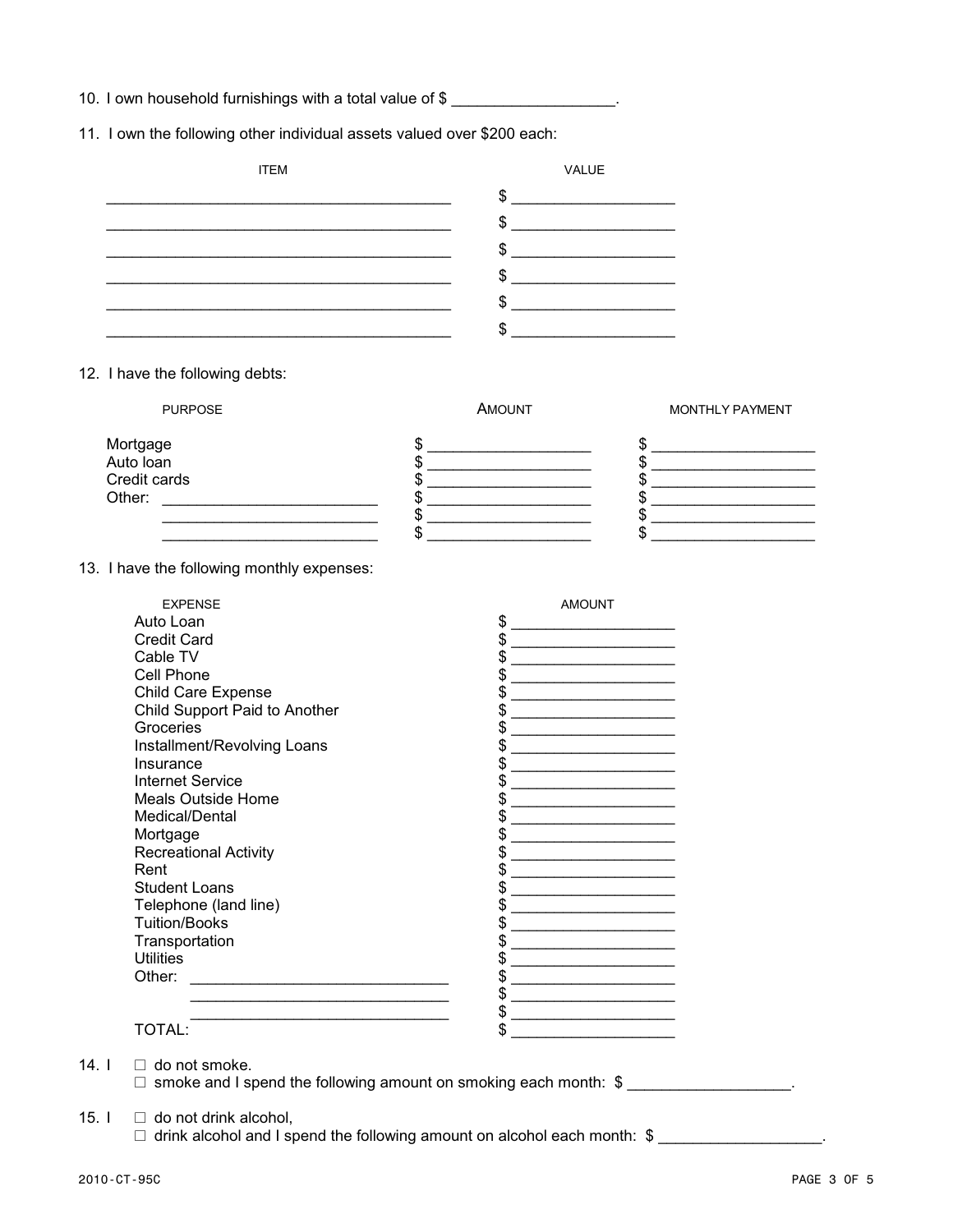10. I own household furnishings with a total value of \$

11. I own the following other individual assets valued over \$200 each:

| <b>ITEM</b> | VALUE |
|-------------|-------|
|             | Φ     |
|             | Ψ     |
|             | ۰D    |
|             | Φ     |
|             | D     |
|             |       |

12. I have the following debts:

| <b>PURPOSE</b>        | AMOUNT | <b>MONTHLY PAYMENT</b> |
|-----------------------|--------|------------------------|
| Mortgage<br>Auto loan |        |                        |
| Credit cards          |        |                        |
| Other:                |        |                        |
|                       |        |                        |
|                       |        |                        |

13. I have the following monthly expenses:

| <b>EXPENSE</b>                | <b>AMOUNT</b> |
|-------------------------------|---------------|
| Auto Loan                     | \$            |
| <b>Credit Card</b>            | \$            |
| Cable TV                      | \$            |
| Cell Phone                    | S             |
| Child Care Expense            | \$            |
| Child Support Paid to Another | S             |
| Groceries                     | \$            |
| Installment/Revolving Loans   |               |
| Insurance                     | \$            |
| <b>Internet Service</b>       | \$            |
| <b>Meals Outside Home</b>     | \$            |
| Medical/Dental                |               |
| Mortgage                      | \$            |
| <b>Recreational Activity</b>  | \$            |
| Rent                          | \$            |
| <b>Student Loans</b>          | \$            |
| Telephone (land line)         | \$            |
| <b>Tuition/Books</b>          | \$            |
| Transportation                | \$            |
| <b>Utilities</b>              | \$            |
| Other:                        | \$            |
|                               | \$            |
|                               | \$            |
| TOTAL:                        | \$            |

14.  $I \square$  do not smoke.

 $\Box$  smoke and I spend the following amount on smoking each month:  $\$\_\_\_\_\_\_\_\_\_\_\_\_\_\_\_\_\_\_\_\_\_\_\_\_$ .

15.  $I \square$  do not drink alcohol,

 $\Box$  drink alcohol and I spend the following amount on alcohol each month: \$ \_\_\_\_\_\_\_\_\_\_\_\_\_\_\_\_\_\_\_.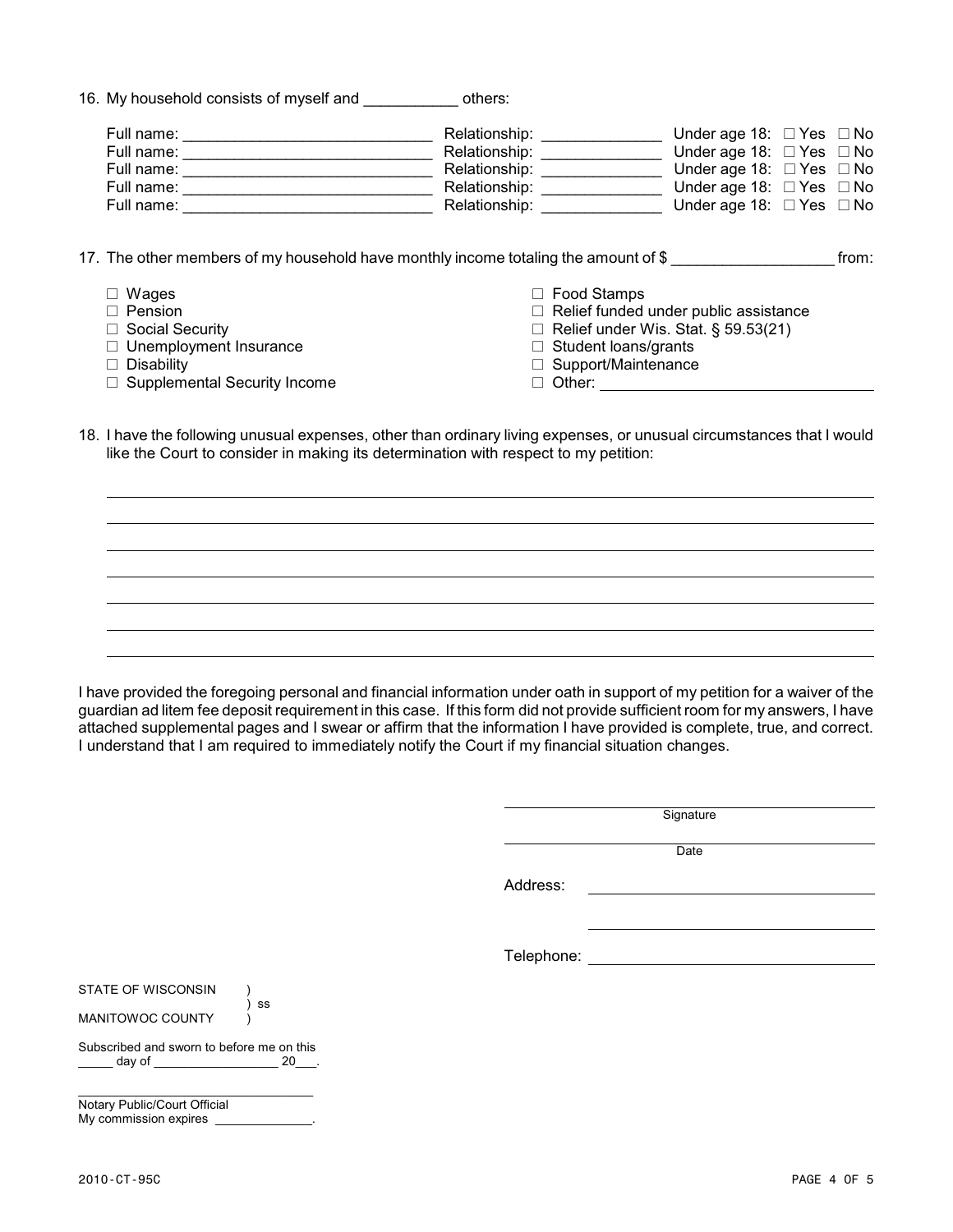|  | 16. My household consists of myself and | others: |
|--|-----------------------------------------|---------|
|  |                                         |         |

| Full name: | Relationship: | Under age 18: $\Box$ Yes $\Box$ No |  |
|------------|---------------|------------------------------------|--|
| Full name: | Relationship: | Under age 18: $\Box$ Yes $\Box$ No |  |
| Full name: | Relationship: | Under age 18: $\Box$ Yes $\Box$ No |  |
| Full name: | Relationship: | Under age 18: $\Box$ Yes $\Box$ No |  |
| Full name: | Relationship: | Under age 18: $\Box$ Yes $\Box$ No |  |

17. The other members of my household have monthly income totaling the amount of \$ from:

 $\square$  Wages  $\square$  Pension  $\Box$  Social Security  $\Box$  Unemployment Insurance  $\Box$  Disability  $\Box$  Supplemental Security Income  $\Box$  Food Stamps  $\Box$  Relief funded under public assistance  $\Box$  Relief under Wis. Stat. § 59.53(21)  $\Box$  Student loans/grants  $\Box$  Support/Maintenance □ Other: <u>\_\_\_\_\_\_\_\_\_\_\_\_\_\_\_\_\_\_\_\_\_\_\_\_</u>

18. I have the following unusual expenses, other than ordinary living expenses, or unusual circumstances that I would like the Court to consider in making its determination with respect to my petition:

I have provided the foregoing personal and financial information under oath in support of my petition for a waiver of the guardian ad litem fee deposit requirement in this case. If this form did not provide sufficient room for my answers, I have attached supplemental pages and I swear or affirm that the information I have provided is complete, true, and correct. I understand that I am required to immediately notify the Court if my financial situation changes.

**Signature** 

**Date** 

Address:

Telephone:

STATE OF WISCONSIN

MANITOWOC COUNTY

Subscribed and sworn to before me on this \_\_\_\_\_ day of \_\_\_\_\_\_\_\_\_\_\_\_\_\_\_\_\_\_\_\_\_\_ 20\_\_\_.

) ss

\_\_\_\_\_\_\_\_\_\_\_\_\_\_\_\_\_\_\_\_\_\_\_\_\_\_\_\_\_\_\_\_\_\_ Notary Public/Court Official My commission expires \_\_\_\_\_\_\_\_\_\_\_\_\_\_.